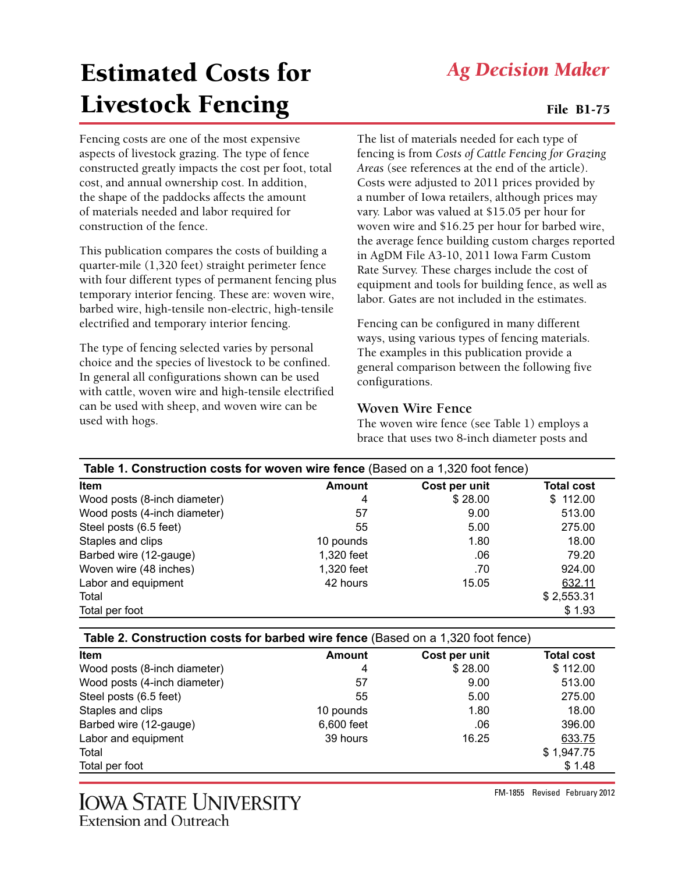## *Ag Decision Maker*

# Estimated Costs for Livestock Fencing File B1-75

Fencing costs are one of the most expensive aspects of livestock grazing. The type of fence constructed greatly impacts the cost per foot, total cost, and annual ownership cost. In addition, the shape of the paddocks affects the amount of materials needed and labor required for construction of the fence.

This publication compares the costs of building a quarter-mile (1,320 feet) straight perimeter fence with four different types of permanent fencing plus temporary interior fencing. These are: woven wire, barbed wire, high-tensile non-electric, high-tensile electrified and temporary interior fencing.

The type of fencing selected varies by personal choice and the species of livestock to be confined. In general all configurations shown can be used with cattle, woven wire and high-tensile electrified can be used with sheep, and woven wire can be used with hogs.

The list of materials needed for each type of fencing is from *Costs of Cattle Fencing for Grazing Areas* (see references at the end of the article). Costs were adjusted to 2011 prices provided by a number of Iowa retailers, although prices may vary. Labor was valued at \$15.05 per hour for woven wire and \$16.25 per hour for barbed wire, the average fence building custom charges reported in AgDM File A3-10, 2011 Iowa Farm Custom Rate Survey. These charges include the cost of equipment and tools for building fence, as well as labor. Gates are not included in the estimates.

Fencing can be configured in many different ways, using various types of fencing materials. The examples in this publication provide a general comparison between the following five configurations.

#### **Woven Wire Fence**

The woven wire fence (see Table 1) employs a brace that uses two 8-inch diameter posts and

| Table 1. Construction costs for woven wire fence (Based on a 1,320 foot fence) |               |               |                   |  |
|--------------------------------------------------------------------------------|---------------|---------------|-------------------|--|
| <b>Item</b>                                                                    | <b>Amount</b> | Cost per unit | <b>Total cost</b> |  |
| Wood posts (8-inch diameter)                                                   | 4             | \$28.00       | 112.00<br>\$.     |  |
| Wood posts (4-inch diameter)                                                   | 57            | 9.00          | 513.00            |  |
| Steel posts (6.5 feet)                                                         | 55            | 5.00          | 275.00            |  |
| Staples and clips                                                              | 10 pounds     | 1.80          | 18.00             |  |
| Barbed wire (12-gauge)                                                         | 1,320 feet    | .06           | 79.20             |  |
| Woven wire (48 inches)                                                         | 1,320 feet    | .70           | 924.00            |  |
| Labor and equipment                                                            | 42 hours      | 15.05         | 632.11            |  |
| Total                                                                          |               |               | \$2,553.31        |  |
| Total per foot                                                                 |               |               | \$1.93            |  |

| Table 2. Construction costs for barbed wire fence (Based on a 1,320 foot fence) |  |  |
|---------------------------------------------------------------------------------|--|--|
|---------------------------------------------------------------------------------|--|--|

| <b>Item</b>                  | Amount     | Cost per unit | <b>Total cost</b> |
|------------------------------|------------|---------------|-------------------|
| Wood posts (8-inch diameter) | 4          | \$28.00       | \$112.00          |
| Wood posts (4-inch diameter) | 57         | 9.00          | 513.00            |
| Steel posts (6.5 feet)       | 55         | 5.00          | 275.00            |
| Staples and clips            | 10 pounds  | 1.80          | 18.00             |
| Barbed wire (12-gauge)       | 6,600 feet | .06           | 396.00            |
| Labor and equipment          | 39 hours   | 16.25         | 633.75            |
| Total                        |            |               | \$1,947.75        |
| Total per foot               |            |               | \$1.48            |

FM-1855 Revised February 2012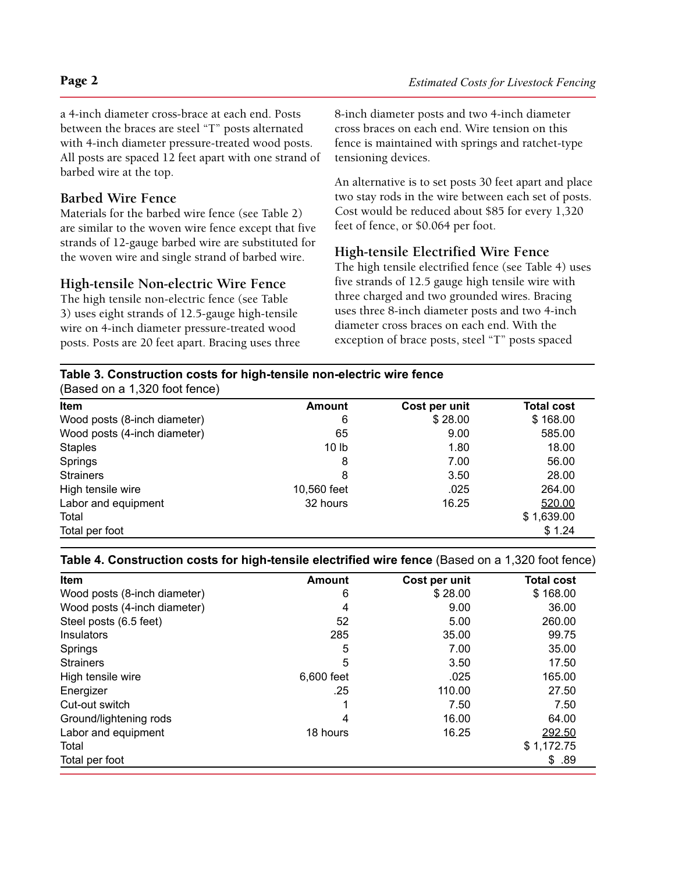a 4-inch diameter cross-brace at each end. Posts between the braces are steel "T" posts alternated with 4-inch diameter pressure-treated wood posts. All posts are spaced 12 feet apart with one strand of barbed wire at the top.

#### **Barbed Wire Fence**

Materials for the barbed wire fence (see Table 2) are similar to the woven wire fence except that five strands of 12-gauge barbed wire are substituted for the woven wire and single strand of barbed wire.

#### **High-tensile Non-electric Wire Fence**

The high tensile non-electric fence (see Table 3) uses eight strands of 12.5-gauge high-tensile wire on 4-inch diameter pressure-treated wood posts. Posts are 20 feet apart. Bracing uses three 8-inch diameter posts and two 4-inch diameter cross braces on each end. Wire tension on this fence is maintained with springs and ratchet-type tensioning devices.

An alternative is to set posts 30 feet apart and place two stay rods in the wire between each set of posts. Cost would be reduced about \$85 for every 1,320 feet of fence, or \$0.064 per foot.

### **High-tensile Electrified Wire Fence**

The high tensile electrified fence (see Table 4) uses five strands of 12.5 gauge high tensile wire with three charged and two grounded wires. Bracing uses three 8-inch diameter posts and two 4-inch diameter cross braces on each end. With the exception of brace posts, steel "T" posts spaced

| Table 3. Construction costs for high-tensile non-electric wire fence<br>(Based on a 1,320 foot fence) |                  |               |                   |  |  |
|-------------------------------------------------------------------------------------------------------|------------------|---------------|-------------------|--|--|
| Item                                                                                                  | <b>Amount</b>    | Cost per unit | <b>Total cost</b> |  |  |
| Wood posts (8-inch diameter)                                                                          | 6                | \$28.00       | \$168.00          |  |  |
| Wood posts (4-inch diameter)                                                                          | 65               | 9.00          | 585.00            |  |  |
| <b>Staples</b>                                                                                        | 10 <sub>lb</sub> | 1.80          | 18.00             |  |  |
| Springs                                                                                               | 8                | 7.00          | 56.00             |  |  |
| <b>Strainers</b>                                                                                      | 8                | 3.50          | 28.00             |  |  |
| High tensile wire                                                                                     | 10,560 feet      | .025          | 264.00            |  |  |
| Labor and equipment                                                                                   | 32 hours         | 16.25         | 520.00            |  |  |
| Total                                                                                                 |                  |               | \$1,639.00        |  |  |
| Total per foot                                                                                        |                  |               | \$1.24            |  |  |

#### **Table 4. Construction costs for high-tensile electrified wire fence** (Based on a 1,320 foot fence)

| <b>Item</b>                  | <b>Amount</b> | Cost per unit | <b>Total cost</b> |
|------------------------------|---------------|---------------|-------------------|
| Wood posts (8-inch diameter) | 6             | \$28.00       | \$168.00          |
| Wood posts (4-inch diameter) | 4             | 9.00          | 36.00             |
| Steel posts (6.5 feet)       | 52            | 5.00          | 260.00            |
| <b>Insulators</b>            | 285           | 35.00         | 99.75             |
| Springs                      | 5             | 7.00          | 35.00             |
| <b>Strainers</b>             | 5             | 3.50          | 17.50             |
| High tensile wire            | 6,600 feet    | .025          | 165.00            |
| Energizer                    | .25           | 110.00        | 27.50             |
| Cut-out switch               |               | 7.50          | 7.50              |
| Ground/lightening rods       | 4             | 16.00         | 64.00             |
| Labor and equipment          | 18 hours      | 16.25         | 292.50            |
| Total                        |               |               | \$1,172.75        |
| Total per foot               |               |               | \$.89             |
|                              |               |               |                   |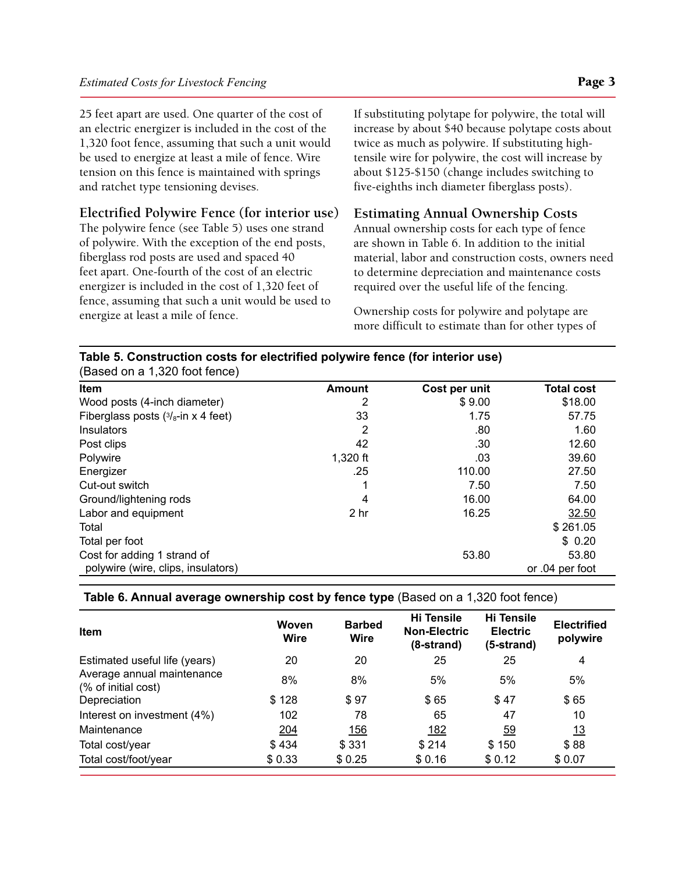25 feet apart are used. One quarter of the cost of an electric energizer is included in the cost of the 1,320 foot fence, assuming that such a unit would be used to energize at least a mile of fence. Wire tension on this fence is maintained with springs and ratchet type tensioning devises.

#### **Electrified Polywire Fence (for interior use)**

The polywire fence (see Table 5) uses one strand of polywire. With the exception of the end posts, fiberglass rod posts are used and spaced 40 feet apart. One-fourth of the cost of an electric energizer is included in the cost of 1,320 feet of fence, assuming that such a unit would be used to energize at least a mile of fence.

If substituting polytape for polywire, the total will increase by about \$40 because polytape costs about twice as much as polywire. If substituting hightensile wire for polywire, the cost will increase by about \$125-\$150 (change includes switching to five-eighths inch diameter fiberglass posts).

#### **Estimating Annual Ownership Costs**

Annual ownership costs for each type of fence are shown in Table 6. In addition to the initial material, labor and construction costs, owners need to determine depreciation and maintenance costs required over the useful life of the fencing.

Ownership costs for polywire and polytape are more difficult to estimate than for other types of

|                               | Table 5. Construction costs for electrified polywire fence (for interior use) |
|-------------------------------|-------------------------------------------------------------------------------|
| (Based on a 1,320 foot fence) |                                                                               |

| <b>Item</b>                           | <b>Amount</b>   | Cost per unit | <b>Total cost</b> |
|---------------------------------------|-----------------|---------------|-------------------|
| Wood posts (4-inch diameter)          | 2               | \$9.00        | \$18.00           |
| Fiberglass posts $(3/8$ -in x 4 feet) | 33              | 1.75          | 57.75             |
| Insulators                            | 2               | .80           | 1.60              |
| Post clips                            | 42              | .30           | 12.60             |
| Polywire                              | 1,320 ft        | .03           | 39.60             |
| Energizer                             | .25             | 110.00        | 27.50             |
| Cut-out switch                        |                 | 7.50          | 7.50              |
| Ground/lightening rods                | 4               | 16.00         | 64.00             |
| Labor and equipment                   | 2 <sub>hr</sub> | 16.25         | 32.50             |
| Total                                 |                 |               | \$261.05          |
| Total per foot                        |                 |               | \$0.20            |
| Cost for adding 1 strand of           |                 | 53.80         | 53.80             |
| polywire (wire, clips, insulators)    |                 |               | or .04 per foot   |

**Table 6. Annual average ownership cost by fence type** (Based on a 1,320 foot fence)

| Item                                              | <b>Woven</b><br><b>Wire</b> | <b>Barbed</b><br><b>Wire</b> | <b>Hi Tensile</b><br><b>Non-Electric</b><br>(8-strand) | <b>Hi Tensile</b><br><b>Electric</b><br>(5-strand) | <b>Electrified</b><br>polywire |
|---------------------------------------------------|-----------------------------|------------------------------|--------------------------------------------------------|----------------------------------------------------|--------------------------------|
| Estimated useful life (years)                     | 20                          | 20                           | 25                                                     | 25                                                 | 4                              |
| Average annual maintenance<br>(% of initial cost) | 8%                          | 8%                           | 5%                                                     | 5%                                                 | 5%                             |
| Depreciation                                      | \$128                       | \$97                         | \$65                                                   | \$47                                               | \$65                           |
| Interest on investment (4%)                       | 102                         | 78                           | 65                                                     | 47                                                 | 10                             |
| Maintenance                                       | 204                         | 156                          | <u>182</u>                                             | 59                                                 | 13                             |
| Total cost/year                                   | \$434                       | \$331                        | \$214                                                  | \$150                                              | \$88                           |
| Total cost/foot/year                              | \$0.33                      | \$0.25                       | \$0.16                                                 | \$0.12                                             | \$0.07                         |